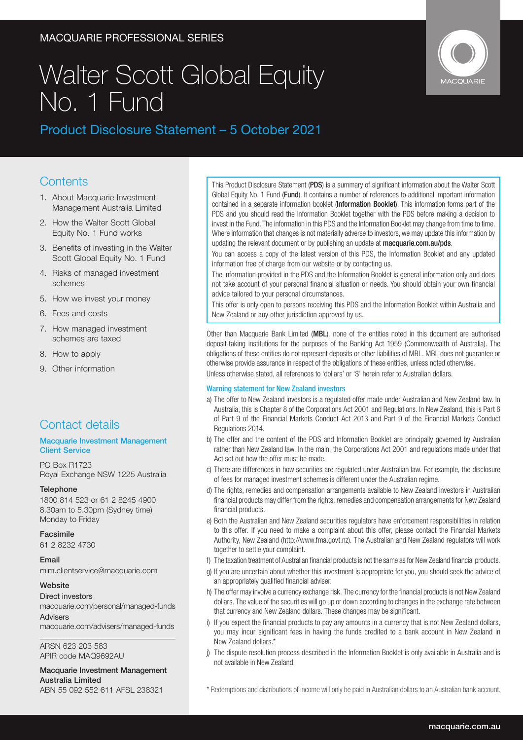### MACQUARIE PROFESSIONAL SERIES

# Walter Scott Global Equity No. 1 Fund



### Product Disclosure Statement – 5 October 2021

### **Contents**

- 1. About Macquarie Investment Management Australia Limited
- 2. How the Walter Scott Global Equity No. 1 Fund works
- 3. Benefits of investing in the Walter Scott Global Equity No. 1 Fund
- 4. Risks of managed investment schemes
- 5. How we invest your money
- 6. Fees and costs
- 7. How managed investment schemes are taxed
- 8. How to apply
- 9. Other information

### Contact details

### Macquarie Investment Management Client Service

PO Box R1723 Royal Exchange NSW 1225 Australia

### **Telephone**

1800 814 523 or 61 2 8245 4900 8.30am to 5.30pm (Sydney time) Monday to Friday

### Facsimile

61 2 8232 4730

### Email

mim.clientservice@macquarie.com

### Website

Direct investors macquarie.com/personal/managed-funds Advisers

macquarie.com/advisers/managed-funds

ARSN 623 203 583 APIR code MAQ9692AU

#### Macquarie Investment Management Australia Limited ABN 55 092 552 611 AFSL 238321

This Product Disclosure Statement (PDS) is a summary of significant information about the Walter Scott Global Equity No. 1 Fund (Fund). It contains a number of references to additional important information contained in a separate information booklet (Information Booklet). This information forms part of the PDS and you should read the Information Booklet together with the PDS before making a decision to invest in the Fund. The information in this PDS and the Information Booklet may change from time to time. Where information that changes is not materially adverse to investors, we may update this information by updating the relevant document or by publishing an update at macquarie.com.au/pds.

You can access a copy of the latest version of this PDS, the Information Booklet and any updated information free of charge from our website or by contacting us.

The information provided in the PDS and the Information Booklet is general information only and does not take account of your personal financial situation or needs. You should obtain your own financial advice tailored to your personal circumstances.

This offer is only open to persons receiving this PDS and the Information Booklet within Australia and New Zealand or any other jurisdiction approved by us.

Other than Macquarie Bank Limited (MBL), none of the entities noted in this document are authorised deposit-taking institutions for the purposes of the Banking Act 1959 (Commonwealth of Australia). The obligations of these entities do not represent deposits or other liabilities of MBL. MBL does not guarantee or otherwise provide assurance in respect of the obligations of these entities, unless noted otherwise.

Unless otherwise stated, all references to 'dollars' or '\$' herein refer to Australian dollars.

### Warning statement for New Zealand investors

- a) The offer to New Zealand investors is a regulated offer made under Australian and New Zealand law. In Australia, this is Chapter 8 of the Corporations Act 2001 and Regulations. In New Zealand, this is Part 6 of Part 9 of the Financial Markets Conduct Act 2013 and Part 9 of the Financial Markets Conduct Regulations 2014.
- b) The offer and the content of the PDS and Information Booklet are principally governed by Australian rather than New Zealand law. In the main, the Corporations Act 2001 and regulations made under that Act set out how the offer must be made.
- c) There are differences in how securities are regulated under Australian law. For example, the disclosure of fees for managed investment schemes is different under the Australian regime.
- d) The rights, remedies and compensation arrangements available to New Zealand investors in Australian financial products may differ from the rights, remedies and compensation arrangements for New Zealand financial products.
- e) Both the Australian and New Zealand securities regulators have enforcement responsibilities in relation to this offer. If you need to make a complaint about this offer, please contact the Financial Markets Authority, New Zealand (http://www.fma.govt.nz). The Australian and New Zealand regulators will work together to settle your complaint.
- f) The taxation treatment of Australian financial products is not the same as for New Zealand financial products.
- g) If you are uncertain about whether this investment is appropriate for you, you should seek the advice of an appropriately qualified financial adviser.
- h) The offer may involve a currency exchange risk. The currency for the financial products is not New Zealand dollars. The value of the securities will go up or down according to changes in the exchange rate between that currency and New Zealand dollars. These changes may be significant.
- i) If you expect the financial products to pay any amounts in a currency that is not New Zealand dollars, you may incur significant fees in having the funds credited to a bank account in New Zealand in New Zealand dollars.\*
- j) The dispute resolution process described in the Information Booklet is only available in Australia and is not available in New Zealand.

\* Redemptions and distributions of income will only be paid in Australian dollars to an Australian bank account.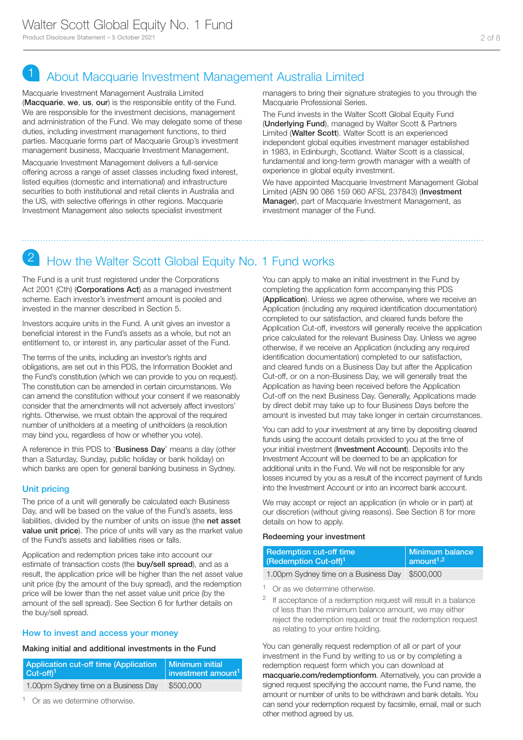## 1 About Macquarie Investment Management Australia Limited

Macquarie Investment Management Australia Limited (Macquarie, we, us, our) is the responsible entity of the Fund. We are responsible for the investment decisions, management and administration of the Fund. We may delegate some of these duties, including investment management functions, to third parties. Macquarie forms part of Macquarie Group's investment management business, Macquarie Investment Management.

Macquarie Investment Management delivers a full-service offering across a range of asset classes including fixed interest, listed equities (domestic and international) and infrastructure securities to both institutional and retail clients in Australia and the US, with selective offerings in other regions. Macquarie Investment Management also selects specialist investment

managers to bring their signature strategies to you through the Macquarie Professional Series.

The Fund invests in the Walter Scott Global Equity Fund (Underlying Fund), managed by Walter Scott & Partners Limited (Walter Scott). Walter Scott is an experienced independent global equities investment manager established in 1983, in Edinburgh, Scotland. Walter Scott is a classical, fundamental and long-term growth manager with a wealth of experience in global equity investment.

We have appointed Macquarie Investment Management Global Limited (ABN 90 086 159 060 AFSL 237843) (Investment Manager), part of Macquarie Investment Management, as investment manager of the Fund.

### How the Walter Scott Global Equity No. 1 Fund works

The Fund is a unit trust registered under the Corporations Act 2001 (Cth) (Corporations Act) as a managed investment scheme. Each investor's investment amount is pooled and invested in the manner described in Section 5.

Investors acquire units in the Fund. A unit gives an investor a beneficial interest in the Fund's assets as a whole, but not an entitlement to, or interest in, any particular asset of the Fund.

The terms of the units, including an investor's rights and obligations, are set out in this PDS, the Information Booklet and the Fund's constitution (which we can provide to you on request). The constitution can be amended in certain circumstances. We can amend the constitution without your consent if we reasonably consider that the amendments will not adversely affect investors' rights. Otherwise, we must obtain the approval of the required number of unitholders at a meeting of unitholders (a resolution may bind you, regardless of how or whether you vote).

A reference in this PDS to 'Business Day' means a day (other than a Saturday, Sunday, public holiday or bank holiday) on which banks are open for general banking business in Sydney.

### Unit pricing

The price of a unit will generally be calculated each Business Day, and will be based on the value of the Fund's assets, less liabilities, divided by the number of units on issue (the net asset **value unit price**). The price of units will vary as the market value of the Fund's assets and liabilities rises or falls.

Application and redemption prices take into account our estimate of transaction costs (the **buy/sell spread**), and as a result, the application price will be higher than the net asset value unit price (by the amount of the buy spread), and the redemption price will be lower than the net asset value unit price (by the amount of the sell spread). See Section 6 for further details on the buy/sell spread.

### How to invest and access your money

### Making initial and additional investments in the Fund

| Application cut-off time (Application | Minimum initial                |
|---------------------------------------|--------------------------------|
| $Cut-off1$                            | investment amount <sup>1</sup> |
| 1.00pm Sydney time on a Business Day  | \$500,000                      |

<sup>1</sup> Or as we determine otherwise.

You can apply to make an initial investment in the Fund by completing the application form accompanying this PDS (Application). Unless we agree otherwise, where we receive an Application (including any required identification documentation) completed to our satisfaction, and cleared funds before the Application Cut-off, investors will generally receive the application price calculated for the relevant Business Day. Unless we agree otherwise, if we receive an Application (including any required identification documentation) completed to our satisfaction, and cleared funds on a Business Day but after the Application Cut-off, or on a non-Business Day, we will generally treat the Application as having been received before the Application Cut-off on the next Business Day. Generally, Applications made by direct debit may take up to four Business Days before the amount is invested but may take longer in certain circumstances.

You can add to your investment at any time by depositing cleared funds using the account details provided to you at the time of your initial investment (Investment Account). Deposits into the Investment Account will be deemed to be an application for additional units in the Fund. We will not be responsible for any losses incurred by you as a result of the incorrect payment of funds into the Investment Account or into an incorrect bank account.

We may accept or reject an application (in whole or in part) at our discretion (without giving reasons). See Section 8 for more details on how to apply.

### Redeeming your investment

| <b>Redemption cut-off time</b>       | Minimum balance       |
|--------------------------------------|-----------------------|
| (Redemption Cut-off) <sup>1</sup>    | amount <sup>1,2</sup> |
| 1.00pm Sydney time on a Business Day | \$500,000             |

<sup>1</sup> Or as we determine otherwise.

<sup>2</sup> If acceptance of a redemption request will result in a balance of less than the minimum balance amount, we may either reject the redemption request or treat the redemption request as relating to your entire holding.

You can generally request redemption of all or part of your investment in the Fund by writing to us or by completing a redemption request form which you can download at macquarie.com/redemptionform. Alternatively, you can provide a signed request specifying the account name, the Fund name, the amount or number of units to be withdrawn and bank details. You can send your redemption request by facsimile, email, mail or such other method agreed by us.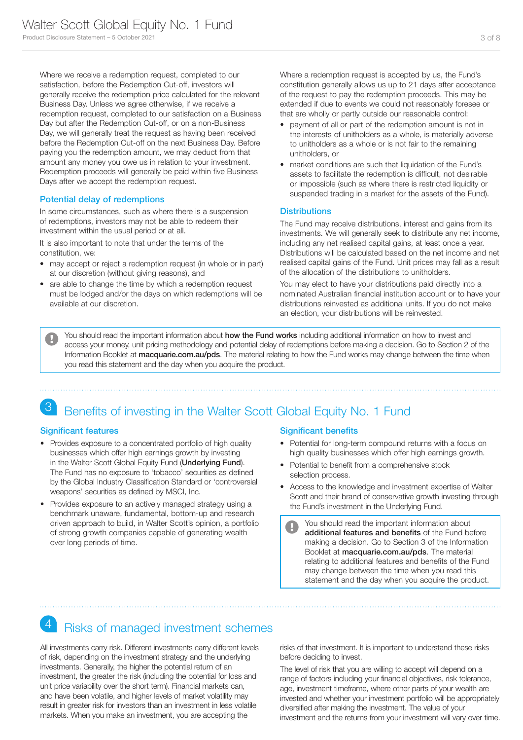Where we receive a redemption request, completed to our satisfaction, before the Redemption Cut-off, investors will generally receive the redemption price calculated for the relevant Business Day. Unless we agree otherwise, if we receive a redemption request, completed to our satisfaction on a Business Day but after the Redemption Cut-off, or on a non-Business Day, we will generally treat the request as having been received before the Redemption Cut-off on the next Business Day. Before paying you the redemption amount, we may deduct from that amount any money you owe us in relation to your investment. Redemption proceeds will generally be paid within five Business Days after we accept the redemption request.

### Potential delay of redemptions

In some circumstances, such as where there is a suspension of redemptions, investors may not be able to redeem their investment within the usual period or at all.

It is also important to note that under the terms of the constitution, we:

- may accept or reject a redemption request (in whole or in part) at our discretion (without giving reasons), and
- are able to change the time by which a redemption request must be lodged and/or the days on which redemptions will be available at our discretion.

Where a redemption request is accepted by us, the Fund's constitution generally allows us up to 21 days after acceptance of the request to pay the redemption proceeds. This may be extended if due to events we could not reasonably foresee or that are wholly or partly outside our reasonable control:

- payment of all or part of the redemption amount is not in the interests of unitholders as a whole, is materially adverse to unitholders as a whole or is not fair to the remaining unitholders, or
- market conditions are such that liquidation of the Fund's assets to facilitate the redemption is difficult, not desirable or impossible (such as where there is restricted liquidity or suspended trading in a market for the assets of the Fund).

### **Distributions**

The Fund may receive distributions, interest and gains from its investments. We will generally seek to distribute any net income, including any net realised capital gains, at least once a year. Distributions will be calculated based on the net income and net realised capital gains of the Fund. Unit prices may fall as a result of the allocation of the distributions to unitholders.

You may elect to have your distributions paid directly into a nominated Australian financial institution account or to have your distributions reinvested as additional units. If you do not make an election, your distributions will be reinvested.

You should read the important information about how the Fund works including additional information on how to invest and  $\overline{\mathbf{u}}$ access your money, unit pricing methodology and potential delay of redemptions before making a decision. Go to Section 2 of the Information Booklet at macquarie.com.au/pds. The material relating to how the Fund works may change between the time when you read this statement and the day when you acquire the product.

### Benefits of investing in the Walter Scott Global Equity No. 1 Fund

### Significant features

- Provides exposure to a concentrated portfolio of high quality businesses which offer high earnings growth by investing in the Walter Scott Global Equity Fund (Underlying Fund). The Fund has no exposure to 'tobacco' securities as defined by the Global Industry Classification Standard or 'controversial weapons' securities as defined by MSCI, Inc.
- Provides exposure to an actively managed strategy using a benchmark unaware, fundamental, bottom-up and research driven approach to build, in Walter Scott's opinion, a portfolio of strong growth companies capable of generating wealth over long periods of time.

### Significant benefits

- Potential for long-term compound returns with a focus on high quality businesses which offer high earnings growth.
- Potential to benefit from a comprehensive stock selection process.
- Access to the knowledge and investment expertise of Walter Scott and their brand of conservative growth investing through the Fund's investment in the Underlying Fund.
	- You should read the important information about  $\blacksquare$ additional features and benefits of the Fund before making a decision. Go to Section 3 of the Information Booklet at macquarie.com.au/pds. The material relating to additional features and benefits of the Fund may change between the time when you read this statement and the day when you acquire the product.

### **Risks of managed investment schemes**

All investments carry risk. Different investments carry different levels of risk, depending on the investment strategy and the underlying investments. Generally, the higher the potential return of an investment, the greater the risk (including the potential for loss and unit price variability over the short term). Financial markets can, and have been volatile, and higher levels of market volatility may result in greater risk for investors than an investment in less volatile markets. When you make an investment, you are accepting the

risks of that investment. It is important to understand these risks before deciding to invest.

The level of risk that you are willing to accept will depend on a range of factors including your financial objectives, risk tolerance, age, investment timeframe, where other parts of your wealth are invested and whether your investment portfolio will be appropriately diversified after making the investment. The value of your investment and the returns from your investment will vary over time.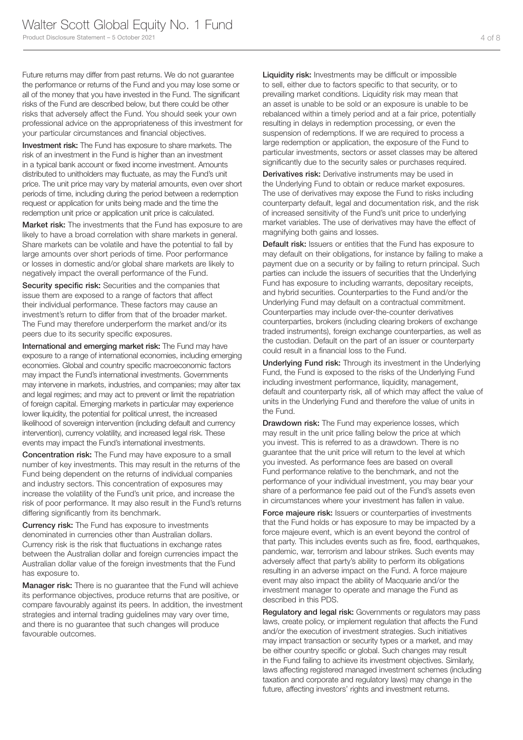Future returns may differ from past returns. We do not guarantee the performance or returns of the Fund and you may lose some or all of the money that you have invested in the Fund. The significant risks of the Fund are described below, but there could be other risks that adversely affect the Fund. You should seek your own professional advice on the appropriateness of this investment for your particular circumstances and financial objectives.

Investment risk: The Fund has exposure to share markets. The risk of an investment in the Fund is higher than an investment in a typical bank account or fixed income investment. Amounts distributed to unitholders may fluctuate, as may the Fund's unit price. The unit price may vary by material amounts, even over short periods of time, including during the period between a redemption request or application for units being made and the time the redemption unit price or application unit price is calculated.

Market risk: The investments that the Fund has exposure to are likely to have a broad correlation with share markets in general. Share markets can be volatile and have the potential to fall by large amounts over short periods of time. Poor performance or losses in domestic and/or global share markets are likely to negatively impact the overall performance of the Fund.

Security specific risk: Securities and the companies that issue them are exposed to a range of factors that affect their individual performance. These factors may cause an investment's return to differ from that of the broader market. The Fund may therefore underperform the market and/or its peers due to its security specific exposures.

International and emerging market risk: The Fund may have exposure to a range of international economies, including emerging economies. Global and country specific macroeconomic factors may impact the Fund's international investments. Governments may intervene in markets, industries, and companies; may alter tax and legal regimes; and may act to prevent or limit the repatriation of foreign capital. Emerging markets in particular may experience lower liquidity, the potential for political unrest, the increased likelihood of sovereign intervention (including default and currency intervention), currency volatility, and increased legal risk. These events may impact the Fund's international investments.

Concentration risk: The Fund may have exposure to a small number of key investments. This may result in the returns of the Fund being dependent on the returns of individual companies and industry sectors. This concentration of exposures may increase the volatility of the Fund's unit price, and increase the risk of poor performance. It may also result in the Fund's returns differing significantly from its benchmark.

**Currency risk:** The Fund has exposure to investments denominated in currencies other than Australian dollars. Currency risk is the risk that fluctuations in exchange rates between the Australian dollar and foreign currencies impact the Australian dollar value of the foreign investments that the Fund has exposure to.

Manager risk: There is no guarantee that the Fund will achieve its performance objectives, produce returns that are positive, or compare favourably against its peers. In addition, the investment strategies and internal trading guidelines may vary over time, and there is no guarantee that such changes will produce favourable outcomes.

Liquidity risk: Investments may be difficult or impossible to sell, either due to factors specific to that security, or to prevailing market conditions. Liquidity risk may mean that an asset is unable to be sold or an exposure is unable to be rebalanced within a timely period and at a fair price, potentially resulting in delays in redemption processing, or even the suspension of redemptions. If we are required to process a large redemption or application, the exposure of the Fund to particular investments, sectors or asset classes may be altered significantly due to the security sales or purchases required.

Derivatives risk: Derivative instruments may be used in the Underlying Fund to obtain or reduce market exposures. The use of derivatives may expose the Fund to risks including counterparty default, legal and documentation risk, and the risk of increased sensitivity of the Fund's unit price to underlying market variables. The use of derivatives may have the effect of magnifying both gains and losses.

Default risk: Issuers or entities that the Fund has exposure to may default on their obligations, for instance by failing to make a payment due on a security or by failing to return principal. Such parties can include the issuers of securities that the Underlying Fund has exposure to including warrants, depositary receipts, and hybrid securities. Counterparties to the Fund and/or the Underlying Fund may default on a contractual commitment. Counterparties may include over-the-counter derivatives counterparties, brokers (including clearing brokers of exchange traded instruments), foreign exchange counterparties, as well as the custodian. Default on the part of an issuer or counterparty could result in a financial loss to the Fund.

Underlying Fund risk: Through its investment in the Underlying Fund, the Fund is exposed to the risks of the Underlying Fund including investment performance, liquidity, management, default and counterparty risk, all of which may affect the value of units in the Underlying Fund and therefore the value of units in the Fund.

**Drawdown risk:** The Fund may experience losses, which may result in the unit price falling below the price at which you invest. This is referred to as a drawdown. There is no guarantee that the unit price will return to the level at which you invested. As performance fees are based on overall Fund performance relative to the benchmark, and not the performance of your individual investment, you may bear your share of a performance fee paid out of the Fund's assets even in circumstances where your investment has fallen in value.

Force majeure risk: Issuers or counterparties of investments that the Fund holds or has exposure to may be impacted by a force majeure event, which is an event beyond the control of that party. This includes events such as fire, flood, earthquakes, pandemic, war, terrorism and labour strikes. Such events may adversely affect that party's ability to perform its obligations resulting in an adverse impact on the Fund. A force majeure event may also impact the ability of Macquarie and/or the investment manager to operate and manage the Fund as described in this PDS.

Regulatory and legal risk: Governments or regulators may pass laws, create policy, or implement regulation that affects the Fund and/or the execution of investment strategies. Such initiatives may impact transaction or security types or a market, and may be either country specific or global. Such changes may result in the Fund failing to achieve its investment objectives. Similarly, laws affecting registered managed investment schemes (including taxation and corporate and regulatory laws) may change in the future, affecting investors' rights and investment returns.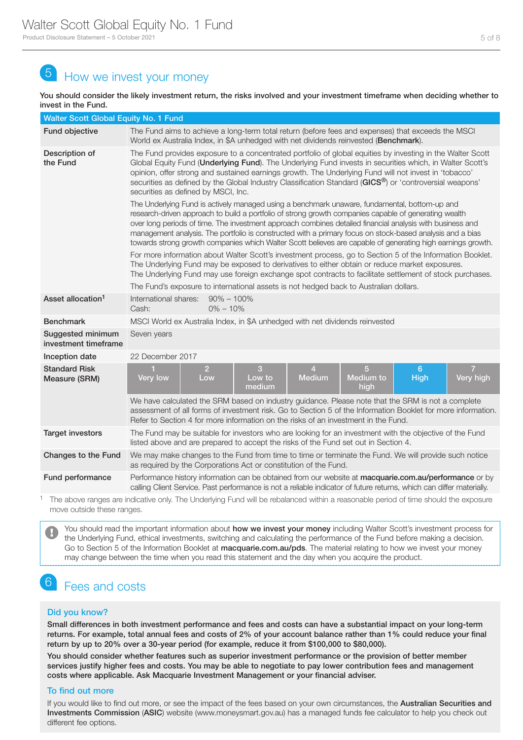# 5 How we invest your money

You should consider the likely investment return, the risks involved and your investment timeframe when deciding whether to invest in the Fund.

| Walter Scott Global Equity No. 1 Fund     |                                                                                                                                                                                                                                                                                                                                                                                                                                                                                                                                                 |  |  |  |  |
|-------------------------------------------|-------------------------------------------------------------------------------------------------------------------------------------------------------------------------------------------------------------------------------------------------------------------------------------------------------------------------------------------------------------------------------------------------------------------------------------------------------------------------------------------------------------------------------------------------|--|--|--|--|
| <b>Fund objective</b>                     | The Fund aims to achieve a long-term total return (before fees and expenses) that exceeds the MSCI<br>World ex Australia Index, in \$A unhedged with net dividends reinvested (Benchmark).                                                                                                                                                                                                                                                                                                                                                      |  |  |  |  |
| Description of<br>the Fund                | The Fund provides exposure to a concentrated portfolio of global equities by investing in the Walter Scott<br>Global Equity Fund (Underlying Fund). The Underlying Fund invests in securities which, in Walter Scott's<br>opinion, offer strong and sustained earnings growth. The Underlying Fund will not invest in 'tobacco'<br>securities as defined by the Global Industry Classification Standard ( $GICS^{\circledcirc}$ ) or 'controversial weapons'<br>securities as defined by MSCI, Inc.                                             |  |  |  |  |
|                                           | The Underlying Fund is actively managed using a benchmark unaware, fundamental, bottom-up and<br>research-driven approach to build a portfolio of strong growth companies capable of generating wealth<br>over long periods of time. The investment approach combines detailed financial analysis with business and<br>management analysis. The portfolio is constructed with a primary focus on stock-based analysis and a bias<br>towards strong growth companies which Walter Scott believes are capable of generating high earnings growth. |  |  |  |  |
|                                           | For more information about Walter Scott's investment process, go to Section 5 of the Information Booklet.<br>The Underlying Fund may be exposed to derivatives to either obtain or reduce market exposures.<br>The Underlying Fund may use foreign exchange spot contracts to facilitate settlement of stock purchases.<br>The Fund's exposure to international assets is not hedged back to Australian dollars.                                                                                                                                |  |  |  |  |
| Asset allocation <sup>1</sup>             | International shares: 90% - 100%<br>$0\% - 10\%$<br>Cash:                                                                                                                                                                                                                                                                                                                                                                                                                                                                                       |  |  |  |  |
| <b>Benchmark</b>                          | MSCI World ex Australia Index, in \$A unhedged with net dividends reinvested                                                                                                                                                                                                                                                                                                                                                                                                                                                                    |  |  |  |  |
| Suggested minimum<br>investment timeframe | Seven years                                                                                                                                                                                                                                                                                                                                                                                                                                                                                                                                     |  |  |  |  |
| Inception date                            | 22 December 2017                                                                                                                                                                                                                                                                                                                                                                                                                                                                                                                                |  |  |  |  |
| <b>Standard Risk</b><br>Measure (SRM)     | $\overline{2}$<br>3<br>5<br>6 <sup>°</sup><br>1<br>$\overline{4}$<br>Low to<br><b>Medium</b><br>Medium to<br>Very high<br>Very low<br>Low<br>High<br>medium<br>high                                                                                                                                                                                                                                                                                                                                                                             |  |  |  |  |
|                                           | We have calculated the SRM based on industry guidance. Please note that the SRM is not a complete<br>assessment of all forms of investment risk. Go to Section 5 of the Information Booklet for more information.<br>Refer to Section 4 for more information on the risks of an investment in the Fund.                                                                                                                                                                                                                                         |  |  |  |  |
| <b>Target investors</b>                   | The Fund may be suitable for investors who are looking for an investment with the objective of the Fund<br>listed above and are prepared to accept the risks of the Fund set out in Section 4.                                                                                                                                                                                                                                                                                                                                                  |  |  |  |  |
| Changes to the Fund                       | We may make changes to the Fund from time to time or terminate the Fund. We will provide such notice<br>as required by the Corporations Act or constitution of the Fund.                                                                                                                                                                                                                                                                                                                                                                        |  |  |  |  |
| Fund performance                          | Performance history information can be obtained from our website at macquarie.com.au/performance or by<br>calling Client Service. Past performance is not a reliable indicator of future returns, which can differ materially.                                                                                                                                                                                                                                                                                                                  |  |  |  |  |
| $\overline{ }$                            | the property of the contract of the contract of the contract of the contract of the contract of the contract of the contract of the contract of the contract of the contract of the contract of the contract of the contract o<br>the contract of the contract of the contract of the contract of the contract of the contract of the contract of                                                                                                                                                                                               |  |  |  |  |

<sup>1</sup> The above ranges are indicative only. The Underlying Fund will be rebalanced within a reasonable period of time should the exposure move outside these ranges.

You should read the important information about how we invest your money including Walter Scott's investment process for the Underlying Fund, ethical investments, switching and calculating the performance of the Fund before making a decision. Go to Section 5 of the Information Booklet at macquarie.com.au/pds. The material relating to how we invest your money may change between the time when you read this statement and the day when you acquire the product.

### Fees and costs

### Did you know?

Small differences in both investment performance and fees and costs can have a substantial impact on your long-term returns. For example, total annual fees and costs of 2% of your account balance rather than 1% could reduce your final return by up to 20% over a 30-year period (for example, reduce it from \$100,000 to \$80,000).

You should consider whether features such as superior investment performance or the provision of better member services justify higher fees and costs. You may be able to negotiate to pay lower contribution fees and management costs where applicable. Ask Macquarie Investment Management or your financial adviser.

### To find out more

If you would like to find out more, or see the impact of the fees based on your own circumstances, the Australian Securities and Investments Commission (ASIC) website (www.moneysmart.gov.au) has a managed funds fee calculator to help you check out different fee options.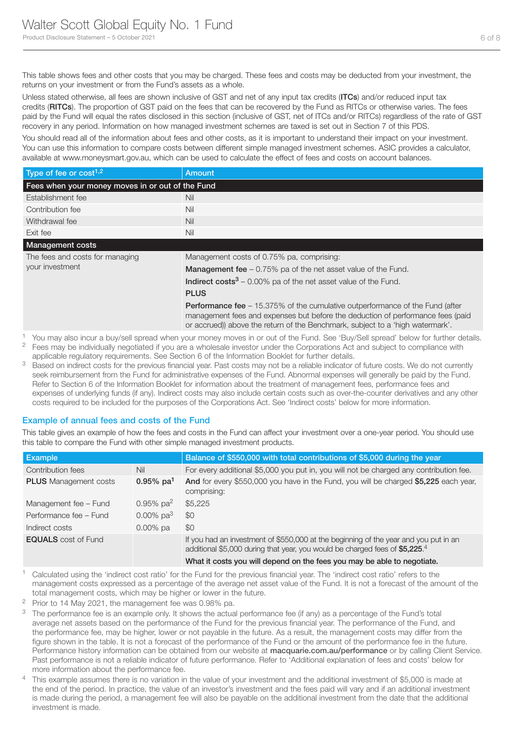This table shows fees and other costs that you may be charged. These fees and costs may be deducted from your investment, the returns on your investment or from the Fund's assets as a whole.

Unless stated otherwise, all fees are shown inclusive of GST and net of any input tax credits (ITCs) and/or reduced input tax credits (RITCs). The proportion of GST paid on the fees that can be recovered by the Fund as RITCs or otherwise varies. The fees paid by the Fund will equal the rates disclosed in this section (inclusive of GST, net of ITCs and/or RITCs) regardless of the rate of GST recovery in any period. Information on how managed investment schemes are taxed is set out in Section 7 of this PDS.

You should read all of the information about fees and other costs, as it is important to understand their impact on your investment. You can use this information to compare costs between different simple managed investment schemes. ASIC provides a calculator, available at www.moneysmart.gov.au, which can be used to calculate the effect of fees and costs on account balances.

| Type of fee or $cost1,2$                           | Amount                                                                                                                                                                                                                                                    |  |  |
|----------------------------------------------------|-----------------------------------------------------------------------------------------------------------------------------------------------------------------------------------------------------------------------------------------------------------|--|--|
| Fees when your money moves in or out of the Fund   |                                                                                                                                                                                                                                                           |  |  |
| Establishment fee                                  | Nil                                                                                                                                                                                                                                                       |  |  |
| Contribution fee                                   | Nil                                                                                                                                                                                                                                                       |  |  |
| Withdrawal fee                                     | Nil                                                                                                                                                                                                                                                       |  |  |
| Exit fee                                           | Nil                                                                                                                                                                                                                                                       |  |  |
| <b>Management costs</b>                            |                                                                                                                                                                                                                                                           |  |  |
| The fees and costs for managing<br>your investment | Management costs of 0.75% pa, comprising:                                                                                                                                                                                                                 |  |  |
|                                                    | <b>Management fee</b> $-0.75\%$ pa of the net asset value of the Fund.                                                                                                                                                                                    |  |  |
|                                                    | <b>Indirect costs</b> $3 - 0.00\%$ pa of the net asset value of the Fund.                                                                                                                                                                                 |  |  |
|                                                    | <b>PLUS</b>                                                                                                                                                                                                                                               |  |  |
|                                                    | <b>Performance fee</b> – 15.375% of the cumulative outperformance of the Fund (after<br>management fees and expenses but before the deduction of performance fees (paid<br>or accrued)) above the return of the Benchmark, subject to a 'high watermark'. |  |  |

1 You may also incur a buy/sell spread when your money moves in or out of the Fund. See 'Buy/Sell spread' below for further details. <sup>2</sup> Fees may be individually negotiated if you are a wholesale investor under the Corporations Act and subject to compliance with

applicable regulatory requirements. See Section 6 of the Information Booklet for further details. <sup>3</sup> Based on indirect costs for the previous financial year. Past costs may not be a reliable indicator of future costs. We do not currently seek reimbursement from the Fund for administrative expenses of the Fund. Abnormal expenses will generally be paid by the Fund. Refer to Section 6 of the Information Booklet for information about the treatment of management fees, performance fees and expenses of underlying funds (if any). Indirect costs may also include certain costs such as over-the-counter derivatives and any other costs required to be included for the purposes of the Corporations Act. See 'Indirect costs' below for more information.

### Example of annual fees and costs of the Fund

This table gives an example of how the fees and costs in the Fund can affect your investment over a one-year period. You should use this table to compare the Fund with other simple managed investment products.

| <b>Example</b>               |                          | Balance of \$550,000 with total contributions of \$5,000 during the year                                                                                            |
|------------------------------|--------------------------|---------------------------------------------------------------------------------------------------------------------------------------------------------------------|
| Contribution fees            | Nil                      | For every additional \$5,000 you put in, you will not be charged any contribution fee.                                                                              |
| <b>PLUS</b> Management costs | $0.95\%$ pa <sup>1</sup> | And for every \$550,000 you have in the Fund, you will be charged \$5,225 each year,<br>comprising:                                                                 |
| Management fee - Fund        | 0.95% $pa^2$             | \$5,225                                                                                                                                                             |
| Performance fee - Fund       | 0.00% $pa^3$             | \$0                                                                                                                                                                 |
| Indirect costs               | $0.00\%$ pa              | \$0                                                                                                                                                                 |
| <b>EQUALS</b> cost of Fund   |                          | If you had an investment of \$550,000 at the beginning of the year and you put in an<br>additional \$5,000 during that year, you would be charged fees of \$5,225.4 |
|                              |                          | What it costs you will depend on the fees you may be able to negotiate.                                                                                             |

<sup>1</sup> Calculated using the 'indirect cost ratio' for the Fund for the previous financial year. The 'indirect cost ratio' refers to the management costs expressed as a percentage of the average net asset value of the Fund. It is not a forecast of the amount of the total management costs, which may be higher or lower in the future.

- <sup>2</sup> Prior to 14 May 2021, the management fee was 0.98% pa.
- <sup>3</sup> The performance fee is an example only. It shows the actual performance fee (if any) as a percentage of the Fund's total average net assets based on the performance of the Fund for the previous financial year. The performance of the Fund, and the performance fee, may be higher, lower or not payable in the future. As a result, the management costs may differ from the figure shown in the table. It is not a forecast of the performance of the Fund or the amount of the performance fee in the future. Performance history information can be obtained from our website at macquarie.com.au/performance or by calling Client Service. Past performance is not a reliable indicator of future performance. Refer to 'Additional explanation of fees and costs' below for more information about the performance fee.
- <sup>4</sup> This example assumes there is no variation in the value of your investment and the additional investment of \$5,000 is made at the end of the period. In practice, the value of an investor's investment and the fees paid will vary and if an additional investment is made during the period, a management fee will also be payable on the additional investment from the date that the additional investment is made.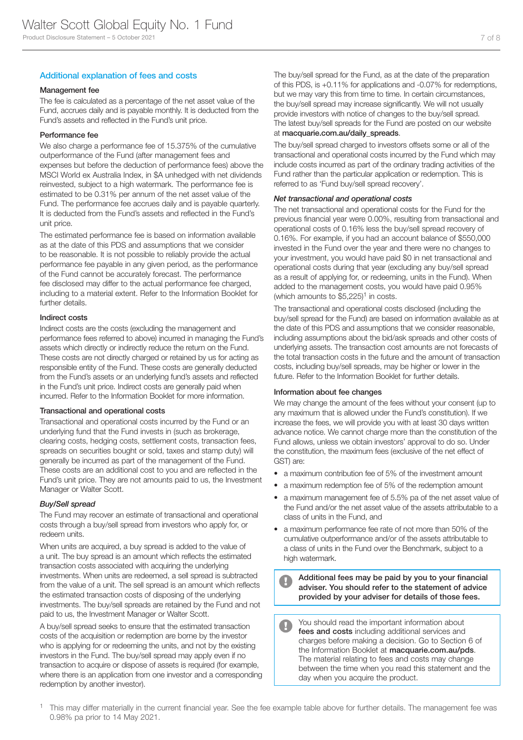### Additional explanation of fees and costs

#### Management fee

The fee is calculated as a percentage of the net asset value of the Fund, accrues daily and is payable monthly. It is deducted from the Fund's assets and reflected in the Fund's unit price.

#### Performance fee

We also charge a performance fee of 15.375% of the cumulative outperformance of the Fund (after management fees and expenses but before the deduction of performance fees) above the MSCI World ex Australia Index, in \$A unhedged with net dividends reinvested, subject to a high watermark. The performance fee is estimated to be 0.31% per annum of the net asset value of the Fund. The performance fee accrues daily and is payable quarterly. It is deducted from the Fund's assets and reflected in the Fund's unit price.

The estimated performance fee is based on information available as at the date of this PDS and assumptions that we consider to be reasonable. It is not possible to reliably provide the actual performance fee payable in any given period, as the performance of the Fund cannot be accurately forecast. The performance fee disclosed may differ to the actual performance fee charged, including to a material extent. Refer to the Information Booklet for further details.

#### Indirect costs

Indirect costs are the costs (excluding the management and performance fees referred to above) incurred in managing the Fund's assets which directly or indirectly reduce the return on the Fund. These costs are not directly charged or retained by us for acting as responsible entity of the Fund. These costs are generally deducted from the Fund's assets or an underlying fund's assets and reflected in the Fund's unit price. Indirect costs are generally paid when incurred. Refer to the Information Booklet for more information.

#### Transactional and operational costs

Transactional and operational costs incurred by the Fund or an underlying fund that the Fund invests in (such as brokerage, clearing costs, hedging costs, settlement costs, transaction fees, spreads on securities bought or sold, taxes and stamp duty) will generally be incurred as part of the management of the Fund. These costs are an additional cost to you and are reflected in the Fund's unit price. They are not amounts paid to us, the Investment Manager or Walter Scott.

#### *Buy/Sell spread*

The Fund may recover an estimate of transactional and operational costs through a buy/sell spread from investors who apply for, or redeem units.

When units are acquired, a buy spread is added to the value of a unit. The buy spread is an amount which reflects the estimated transaction costs associated with acquiring the underlying investments. When units are redeemed, a sell spread is subtracted from the value of a unit. The sell spread is an amount which reflects the estimated transaction costs of disposing of the underlying investments. The buy/sell spreads are retained by the Fund and not paid to us, the Investment Manager or Walter Scott.

A buy/sell spread seeks to ensure that the estimated transaction costs of the acquisition or redemption are borne by the investor who is applying for or redeeming the units, and not by the existing investors in the Fund. The buy/sell spread may apply even if no transaction to acquire or dispose of assets is required (for example, where there is an application from one investor and a corresponding redemption by another investor).

The buy/sell spread for the Fund, as at the date of the preparation of this PDS, is +0.11% for applications and -0.07% for redemptions, but we may vary this from time to time. In certain circumstances, the buy/sell spread may increase significantly. We will not usually provide investors with notice of changes to the buy/sell spread. The latest buy/sell spreads for the Fund are posted on our website at macquarie.com.au/daily\_spreads.

The buy/sell spread charged to investors offsets some or all of the transactional and operational costs incurred by the Fund which may include costs incurred as part of the ordinary trading activities of the Fund rather than the particular application or redemption. This is referred to as 'Fund buy/sell spread recovery'.

#### *Net transactional and operational costs*

The net transactional and operational costs for the Fund for the previous financial year were 0.00%, resulting from transactional and operational costs of 0.16% less the buy/sell spread recovery of 0.16%. For example, if you had an account balance of \$550,000 invested in the Fund over the year and there were no changes to your investment, you would have paid \$0 in net transactional and operational costs during that year (excluding any buy/sell spread as a result of applying for, or redeeming, units in the Fund). When added to the management costs, you would have paid 0.95% (which amounts to  $$5,225$ <sup>1</sup> in costs.

The transactional and operational costs disclosed (including the buy/sell spread for the Fund) are based on information available as at the date of this PDS and assumptions that we consider reasonable, including assumptions about the bid/ask spreads and other costs of underlying assets. The transaction cost amounts are not forecasts of the total transaction costs in the future and the amount of transaction costs, including buy/sell spreads, may be higher or lower in the future. Refer to the Information Booklet for further details.

#### Information about fee changes

We may change the amount of the fees without your consent (up to any maximum that is allowed under the Fund's constitution). If we increase the fees, we will provide you with at least 30 days written advance notice. We cannot charge more than the constitution of the Fund allows, unless we obtain investors' approval to do so. Under the constitution, the maximum fees (exclusive of the net effect of GST) are:

- a maximum contribution fee of 5% of the investment amount
- a maximum redemption fee of 5% of the redemption amount
- a maximum management fee of 5.5% pa of the net asset value of the Fund and/or the net asset value of the assets attributable to a class of units in the Fund, and
- a maximum performance fee rate of not more than 50% of the cumulative outperformance and/or of the assets attributable to a class of units in the Fund over the Benchmark, subject to a high watermark.

Additional fees may be paid by you to your financial adviser. You should refer to the statement of advice provided by your adviser for details of those fees.

You should read the important information about  $\bullet$ fees and costs including additional services and charges before making a decision. Go to Section 6 of the Information Booklet at macquarie.com.au/pds. The material relating to fees and costs may change between the time when you read this statement and the day when you acquire the product.

<sup>1</sup> This may differ materially in the current financial year. See the fee example table above for further details. The management fee was 0.98% pa prior to 14 May 2021.